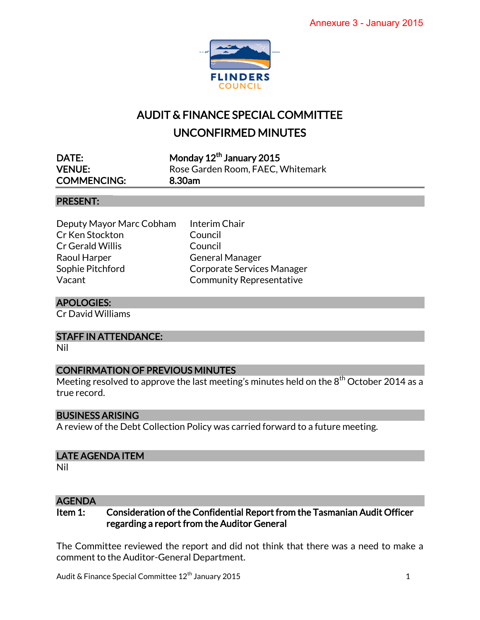

# AUDIT & FINANCE SPECIAL COMMITTEE UNCONFIRMED MINUTES

| DATE:              | Monday 12 <sup>th</sup> January 2015 |
|--------------------|--------------------------------------|
| <b>VENUE:</b>      | Rose Garden Room, FAEC, Whitemark    |
| <b>COMMENCING:</b> | 8.30am                               |

#### PRESENT:

Deputy Mayor Marc Cobham Interim Chair Cr Ken Stockton Council Cr Gerald Willis Council Raoul Harper General Manager Sophie Pitchford Corporate Services Manager Vacant Community Representative

### APOLOGIES:

Cr David Williams

#### STAFF IN ATTENDANCE:

Nil

#### CONFIRMATION OF PREVIOUS MINUTES

Meeting resolved to approve the last meeting's minutes held on the  $8<sup>th</sup>$  October 2014 as a true record.

#### BUSINESS ARISING

A review of the Debt Collection Policy was carried forward to a future meeting.

#### LATE AGENDA ITEM

Nil

#### **AGENDA**

Item 1: Consideration of the Confidential Report from the Tasmanian Audit Officer regarding a report from the Auditor General

The Committee reviewed the report and did not think that there was a need to make a comment to the Auditor-General Department.

Audit & Finance Special Committee 12th January 2015 1